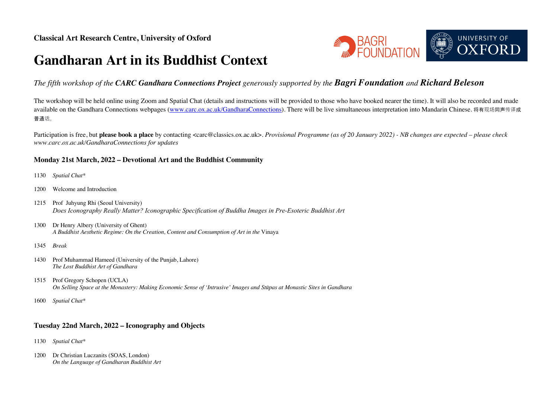# **Gandharan Art in its Buddhist Context**



## *The fifth workshop of the CARC Gandhara Connections Project generously supported by the Bagri Foundation and Richard Beleson*

The workshop will be held online using Zoom and Spatial Chat (details and instructions will be provided to those who have booked nearer the time). It will also be recorded and made available on the Gandhara Connections webpages (www.carc.ox.ac.uk/GandharaConnections). There will be live simultaneous interpretation into Mandarin Chinese. 将有现场同声传译成 普通话。

Participation is free, but **please book a place** by contacting <carc@classics.ox.ac.uk>. *Provisional Programme (as of 20 January 2022) - NB changes are expected – please check www.carc.ox.ac.uk/GandharaConnections for updates*

#### **Monday 21st March, 2022 – Devotional Art and the Buddhist Community**

- 1130 *Spatial Chat\**
- 1200 Welcome and Introduction
- 1215 Prof Juhyung Rhi (Seoul University) *Does Iconography Really Matter? Iconographic Specification of Buddha Images in Pre-Esoteric Buddhist Art*
- 1300 Dr Henry Albery (University of Ghent) *A Buddhist Aesthetic Regime: On the Creation, Content and Consumption of Art in the* Vinaya
- 1345 *Break*
- 1430 Prof Muhammad Hameed (University of the Punjab, Lahore) *The Lost Buddhist Art of Gandhara*
- 1515 Prof Gregory Schopen (UCLA) *On Selling Space at the Monastery: Making Economic Sense of 'Intrusive' Images and Stūpas at Monastic Sites in Gandhara*
- 1600 *Spatial Chat\**

#### **Tuesday 22nd March, 2022 – Iconography and Objects**

- 1130 *Spatial Chat\**
- 1200 Dr Christian Luczanits (SOAS, London) *On the Language of Gandharan Buddhist Art*